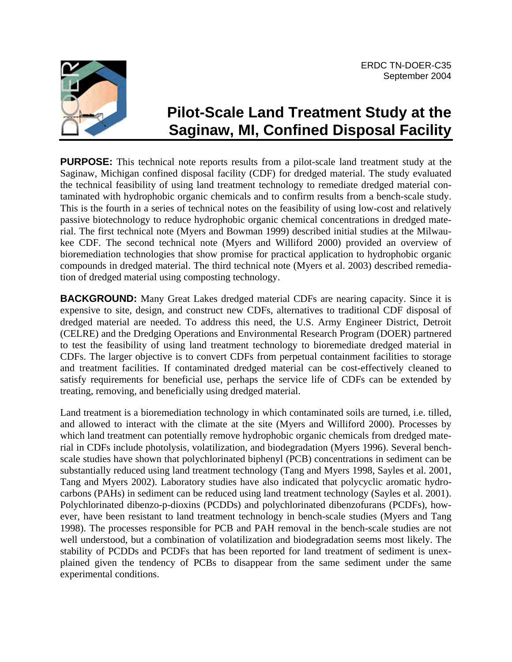

# **Pilot-Scale Land Treatment Study at the Saginaw, MI, Confined Disposal Facility**

**PURPOSE:** This technical note reports results from a pilot-scale land treatment study at the Saginaw, Michigan confined disposal facility (CDF) for dredged material. The study evaluated the technical feasibility of using land treatment technology to remediate dredged material contaminated with hydrophobic organic chemicals and to confirm results from a bench-scale study. This is the fourth in a series of technical notes on the feasibility of using low-cost and relatively passive biotechnology to reduce hydrophobic organic chemical concentrations in dredged material. The first technical note (Myers and Bowman 1999) described initial studies at the Milwaukee CDF. The second technical note (Myers and Williford 2000) provided an overview of bioremediation technologies that show promise for practical application to hydrophobic organic compounds in dredged material. The third technical note (Myers et al. 2003) described remediation of dredged material using composting technology.

**BACKGROUND:** Many Great Lakes dredged material CDFs are nearing capacity. Since it is expensive to site, design, and construct new CDFs, alternatives to traditional CDF disposal of dredged material are needed. To address this need, the U.S. Army Engineer District, Detroit (CELRE) and the Dredging Operations and Environmental Research Program (DOER) partnered to test the feasibility of using land treatment technology to bioremediate dredged material in CDFs. The larger objective is to convert CDFs from perpetual containment facilities to storage and treatment facilities. If contaminated dredged material can be cost-effectively cleaned to satisfy requirements for beneficial use, perhaps the service life of CDFs can be extended by treating, removing, and beneficially using dredged material.

Land treatment is a bioremediation technology in which contaminated soils are turned, i.e. tilled, and allowed to interact with the climate at the site (Myers and Williford 2000). Processes by which land treatment can potentially remove hydrophobic organic chemicals from dredged material in CDFs include photolysis, volatilization, and biodegradation (Myers 1996). Several benchscale studies have shown that polychlorinated biphenyl (PCB) concentrations in sediment can be substantially reduced using land treatment technology (Tang and Myers 1998, Sayles et al. 2001, Tang and Myers 2002). Laboratory studies have also indicated that polycyclic aromatic hydrocarbons (PAHs) in sediment can be reduced using land treatment technology (Sayles et al. 2001). Polychlorinated dibenzo-p-dioxins (PCDDs) and polychlorinated dibenzofurans (PCDFs), however, have been resistant to land treatment technology in bench-scale studies (Myers and Tang 1998). The processes responsible for PCB and PAH removal in the bench-scale studies are not well understood, but a combination of volatilization and biodegradation seems most likely. The stability of PCDDs and PCDFs that has been reported for land treatment of sediment is unexplained given the tendency of PCBs to disappear from the same sediment under the same experimental conditions.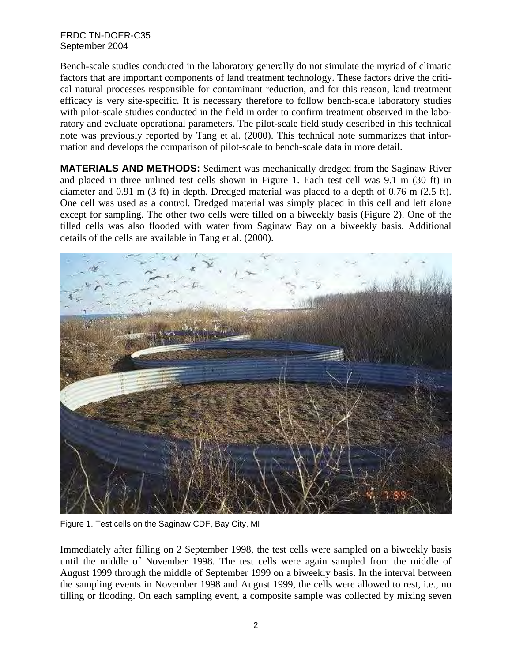Bench-scale studies conducted in the laboratory generally do not simulate the myriad of climatic factors that are important components of land treatment technology. These factors drive the critical natural processes responsible for contaminant reduction, and for this reason, land treatment efficacy is very site-specific. It is necessary therefore to follow bench-scale laboratory studies with pilot-scale studies conducted in the field in order to confirm treatment observed in the laboratory and evaluate operational parameters. The pilot-scale field study described in this technical note was previously reported by Tang et al. (2000). This technical note summarizes that information and develops the comparison of pilot-scale to bench-scale data in more detail.

**MATERIALS AND METHODS:** Sediment was mechanically dredged from the Saginaw River and placed in three unlined test cells shown in Figure 1. Each test cell was 9.1 m (30 ft) in diameter and 0.91 m (3 ft) in depth. Dredged material was placed to a depth of 0.76 m (2.5 ft). One cell was used as a control. Dredged material was simply placed in this cell and left alone except for sampling. The other two cells were tilled on a biweekly basis (Figure 2). One of the tilled cells was also flooded with water from Saginaw Bay on a biweekly basis. Additional details of the cells are available in Tang et al. (2000).



Figure 1. Test cells on the Saginaw CDF, Bay City, MI

Immediately after filling on 2 September 1998, the test cells were sampled on a biweekly basis until the middle of November 1998. The test cells were again sampled from the middle of August 1999 through the middle of September 1999 on a biweekly basis. In the interval between the sampling events in November 1998 and August 1999, the cells were allowed to rest, i.e., no tilling or flooding. On each sampling event, a composite sample was collected by mixing seven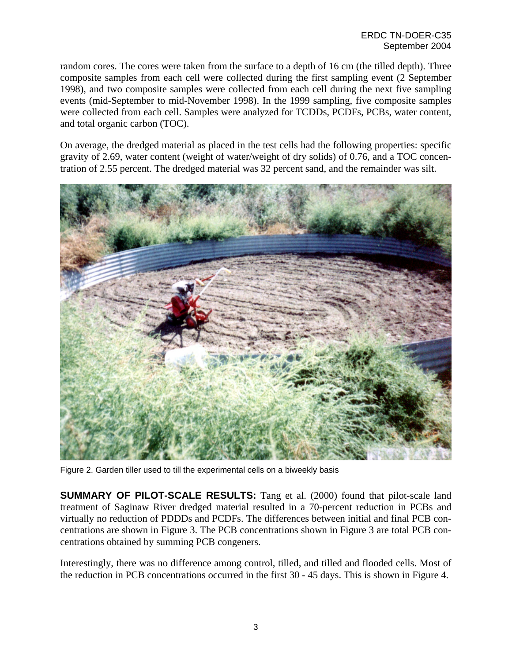random cores. The cores were taken from the surface to a depth of 16 cm (the tilled depth). Three composite samples from each cell were collected during the first sampling event (2 September 1998), and two composite samples were collected from each cell during the next five sampling events (mid-September to mid-November 1998). In the 1999 sampling, five composite samples were collected from each cell. Samples were analyzed for TCDDs, PCDFs, PCBs, water content, and total organic carbon (TOC).

On average, the dredged material as placed in the test cells had the following properties: specific gravity of 2.69, water content (weight of water/weight of dry solids) of 0.76, and a TOC concentration of 2.55 percent. The dredged material was 32 percent sand, and the remainder was silt.



Figure 2. Garden tiller used to till the experimental cells on a biweekly basis

**SUMMARY OF PILOT-SCALE RESULTS:** Tang et al. (2000) found that pilot-scale land treatment of Saginaw River dredged material resulted in a 70-percent reduction in PCBs and virtually no reduction of PDDDs and PCDFs. The differences between initial and final PCB concentrations are shown in Figure 3. The PCB concentrations shown in Figure 3 are total PCB concentrations obtained by summing PCB congeners.

Interestingly, there was no difference among control, tilled, and tilled and flooded cells. Most of the reduction in PCB concentrations occurred in the first 30 - 45 days. This is shown in Figure 4.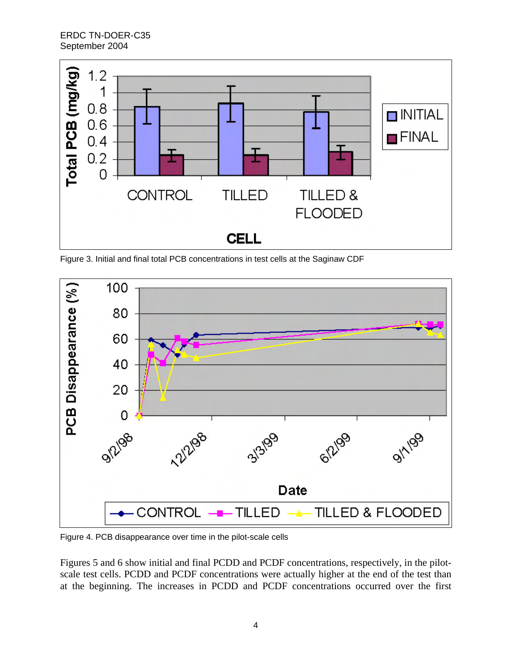

Figure 3. Initial and final total PCB concentrations in test cells at the Saginaw CDF



Figure 4. PCB disappearance over time in the pilot-scale cells

Figures 5 and 6 show initial and final PCDD and PCDF concentrations, respectively, in the pilotscale test cells. PCDD and PCDF concentrations were actually higher at the end of the test than at the beginning. The increases in PCDD and PCDF concentrations occurred over the first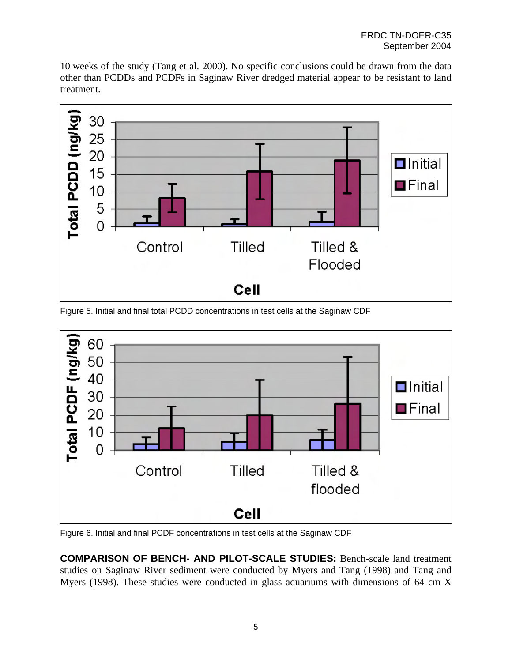10 weeks of the study (Tang et al. 2000). No specific conclusions could be drawn from the data other than PCDDs and PCDFs in Saginaw River dredged material appear to be resistant to land treatment.



Figure 5. Initial and final total PCDD concentrations in test cells at the Saginaw CDF



Figure 6. Initial and final PCDF concentrations in test cells at the Saginaw CDF

**COMPARISON OF BENCH- AND PILOT-SCALE STUDIES:** Bench-scale land treatment studies on Saginaw River sediment were conducted by Myers and Tang (1998) and Tang and Myers (1998). These studies were conducted in glass aquariums with dimensions of 64 cm X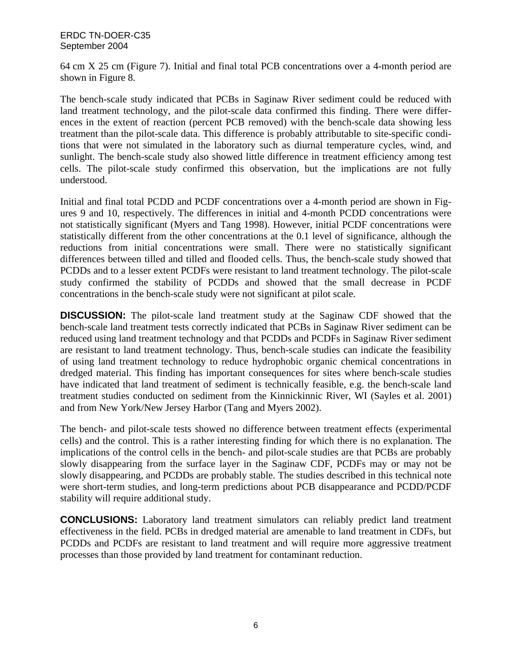64 cm X 25 cm (Figure 7). Initial and final total PCB concentrations over a 4-month period are shown in Figure 8.

The bench-scale study indicated that PCBs in Saginaw River sediment could be reduced with land treatment technology, and the pilot-scale data confirmed this finding. There were differences in the extent of reaction (percent PCB removed) with the bench-scale data showing less treatment than the pilot-scale data. This difference is probably attributable to site-specific conditions that were not simulated in the laboratory such as diurnal temperature cycles, wind, and sunlight. The bench-scale study also showed little difference in treatment efficiency among test cells. The pilot-scale study confirmed this observation, but the implications are not fully understood.

Initial and final total PCDD and PCDF concentrations over a 4-month period are shown in Figures 9 and 10, respectively. The differences in initial and 4-month PCDD concentrations were not statistically significant (Myers and Tang 1998). However, initial PCDF concentrations were statistically different from the other concentrations at the 0.1 level of significance, although the reductions from initial concentrations were small. There were no statistically significant differences between tilled and tilled and flooded cells. Thus, the bench-scale study showed that PCDDs and to a lesser extent PCDFs were resistant to land treatment technology. The pilot-scale study confirmed the stability of PCDDs and showed that the small decrease in PCDF concentrations in the bench-scale study were not significant at pilot scale.

**DISCUSSION:** The pilot-scale land treatment study at the Saginaw CDF showed that the bench-scale land treatment tests correctly indicated that PCBs in Saginaw River sediment can be reduced using land treatment technology and that PCDDs and PCDFs in Saginaw River sediment are resistant to land treatment technology. Thus, bench-scale studies can indicate the feasibility of using land treatment technology to reduce hydrophobic organic chemical concentrations in dredged material. This finding has important consequences for sites where bench-scale studies have indicated that land treatment of sediment is technically feasible, e.g. the bench-scale land treatment studies conducted on sediment from the Kinnickinnic River, WI (Sayles et al. 2001) and from New York/New Jersey Harbor (Tang and Myers 2002).

The bench- and pilot-scale tests showed no difference between treatment effects (experimental cells) and the control. This is a rather interesting finding for which there is no explanation. The implications of the control cells in the bench- and pilot-scale studies are that PCBs are probably slowly disappearing from the surface layer in the Saginaw CDF, PCDFs may or may not be slowly disappearing, and PCDDs are probably stable. The studies described in this technical note were short-term studies, and long-term predictions about PCB disappearance and PCDD/PCDF stability will require additional study.

**CONCLUSIONS:** Laboratory land treatment simulators can reliably predict land treatment effectiveness in the field. PCBs in dredged material are amenable to land treatment in CDFs, but PCDDs and PCDFs are resistant to land treatment and will require more aggressive treatment processes than those provided by land treatment for contaminant reduction.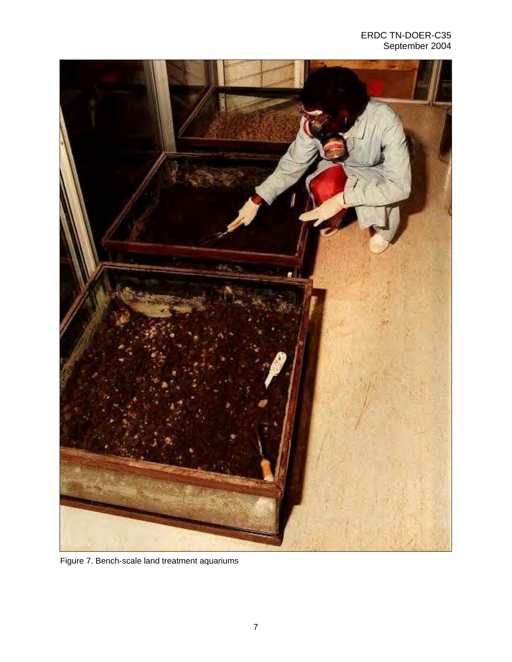

Figure 7. Bench-scale land treatment aquariums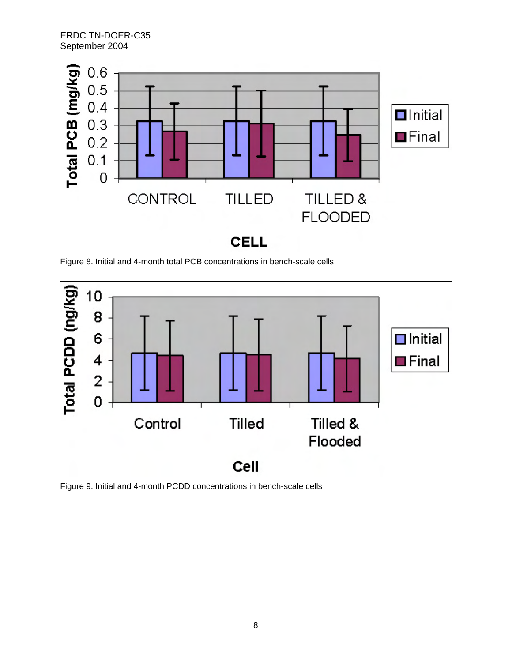

Figure 8. Initial and 4-month total PCB concentrations in bench-scale cells



Figure 9. Initial and 4-month PCDD concentrations in bench-scale cells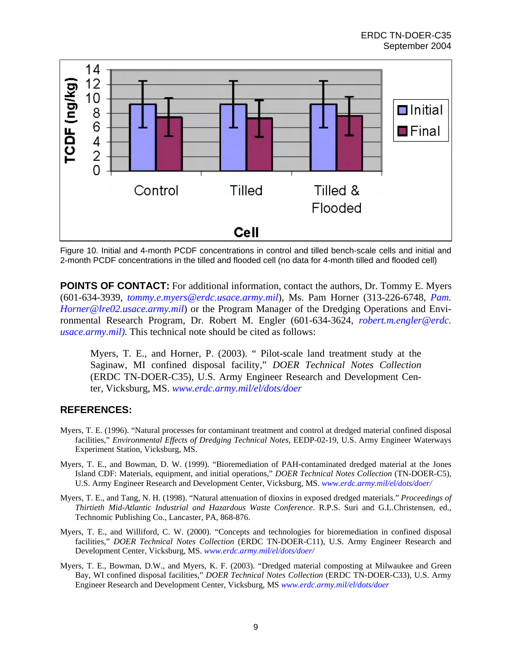

Figure 10. Initial and 4-month PCDF concentrations in control and tilled bench-scale cells and initial and 2-month PCDF concentrations in the tilled and flooded cell (no data for 4-month tilled and flooded cell)

**POINTS OF CONTACT:** For additional information, contact the authors, Dr. Tommy E. Myers (601-634-3939, *tommy.e.myers@erdc.usace.army.mil*), Ms. Pam Horner (313-226-6748, *Pam. Horner@lre02.usace.army.mil*) or the Program Manager of the Dredging Operations and Environmental Research Program, Dr. Robert M. Engler (601-634-3624, *robert.m.engler@erdc. usace.army.mil)*. This technical note should be cited as follows:

Myers, T. E., and Horner, P. (2003). " Pilot-scale land treatment study at the Saginaw, MI confined disposal facility," *DOER Technical Notes Collection* (ERDC TN-DOER-C35), U.S. Army Engineer Research and Development Center, Vicksburg, MS. *www.erdc.army.mil/el/dots/doer*

## **REFERENCES:**

- Myers, T. E. (1996). "Natural processes for contaminant treatment and control at dredged material confined disposal facilities," *Environmental Effects of Dredging Technical Notes*, EEDP-02-19, U.S. Army Engineer Waterways Experiment Station, Vicksburg, MS.
- Myers, T. E., and Bowman, D. W. (1999). "Bioremediation of PAH-contaminated dredged material at the Jones Island CDF: Materials, equipment, and initial operations," *DOER Technical Notes Collection* (TN-DOER-C5), U.S. Army Engineer Research and Development Center, Vicksburg, MS. *www.erdc.army.mil/el/dots/doer/*
- Myers, T. E., and Tang, N. H. (1998). "Natural attenuation of dioxins in exposed dredged materials." *Proceedings of Thirtieth Mid-Atlantic Industrial and Hazardous Waste Conference*. R.P.S. Suri and G.L.Christensen, ed., Technomic Publishing Co., Lancaster, PA, 868-876.
- Myers, T. E., and Williford, C. W. (2000). "Concepts and technologies for bioremediation in confined disposal facilities," *DOER Technical Notes Collection* (ERDC TN-DOER-C11), U.S. Army Engineer Research and Development Center, Vicksburg, MS. *www.erdc.army.mil/el/dots/doer/*
- Myers, T. E., Bowman, D.W., and Myers, K. F. (2003). "Dredged material composting at Milwaukee and Green Bay, WI confined disposal facilities," *DOER Technical Notes Collection* (ERDC TN-DOER-C33), U.S. Army Engineer Research and Development Center, Vicksburg, MS *www.erdc.army.mil/el/dots/doer*